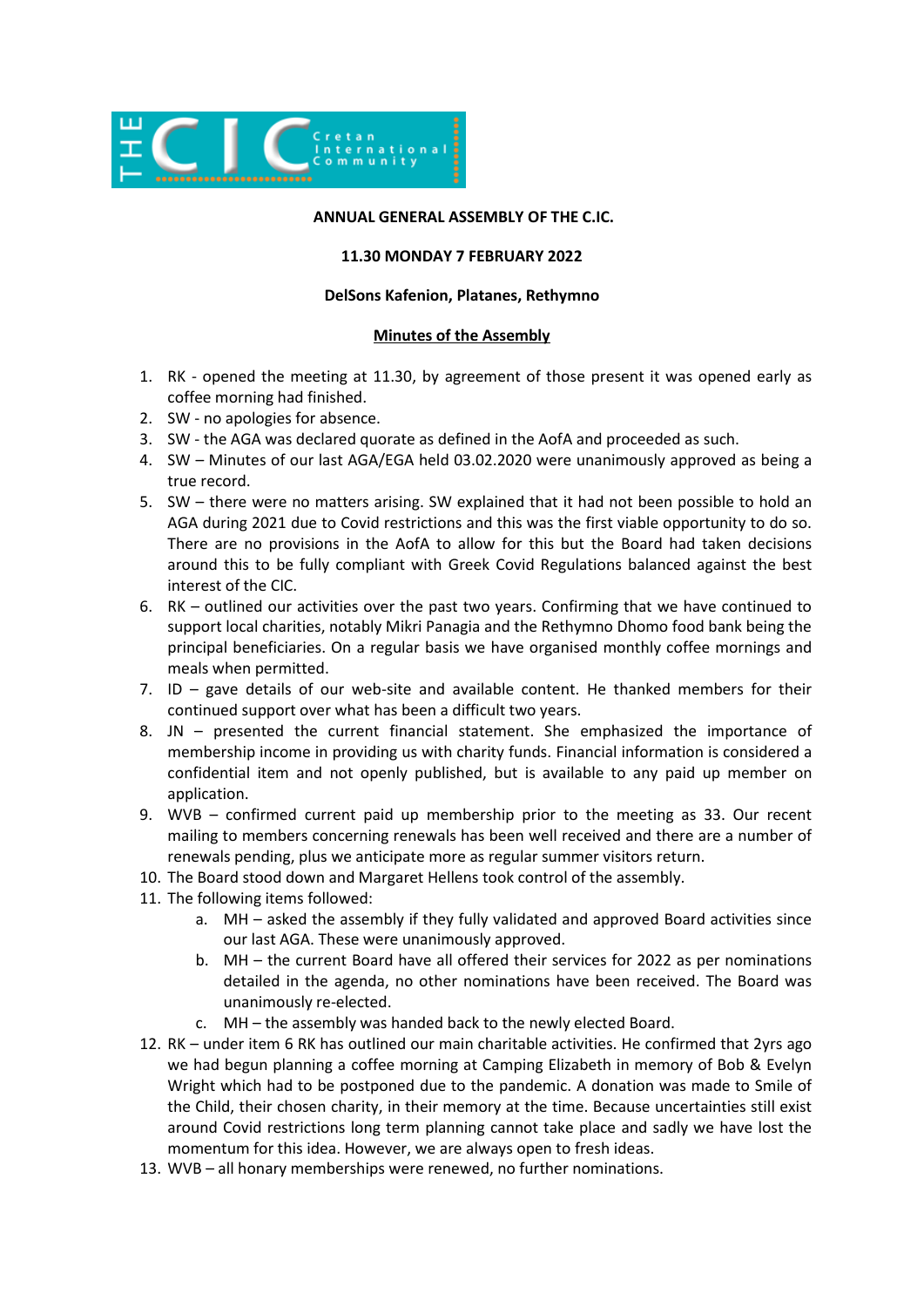

# **ANNUAL GENERAL ASSEMBLY OF THE C.IC.**

### **11.30 MONDAY 7 FEBRUARY 2022**

### **DelSons Kafenion, Platanes, Rethymno**

### **Minutes of the Assembly**

- 1. RK opened the meeting at 11.30, by agreement of those present it was opened early as coffee morning had finished.
- 2. SW no apologies for absence.
- 3. SW the AGA was declared quorate as defined in the AofA and proceeded as such.
- 4. SW Minutes of our last AGA/EGA held 03.02.2020 were unanimously approved as being a true record.
- 5. SW there were no matters arising. SW explained that it had not been possible to hold an AGA during 2021 due to Covid restrictions and this was the first viable opportunity to do so. There are no provisions in the AofA to allow for this but the Board had taken decisions around this to be fully compliant with Greek Covid Regulations balanced against the best interest of the CIC.
- 6. RK outlined our activities over the past two years. Confirming that we have continued to support local charities, notably Mikri Panagia and the Rethymno Dhomo food bank being the principal beneficiaries. On a regular basis we have organised monthly coffee mornings and meals when permitted.
- 7. ID gave details of our web-site and available content. He thanked members for their continued support over what has been a difficult two years.
- 8. JN presented the current financial statement. She emphasized the importance of membership income in providing us with charity funds. Financial information is considered a confidential item and not openly published, but is available to any paid up member on application.
- 9. WVB confirmed current paid up membership prior to the meeting as 33. Our recent mailing to members concerning renewals has been well received and there are a number of renewals pending, plus we anticipate more as regular summer visitors return.
- 10. The Board stood down and Margaret Hellens took control of the assembly.
- 11. The following items followed:
	- a. MH asked the assembly if they fully validated and approved Board activities since our last AGA. These were unanimously approved.
	- b. MH the current Board have all offered their services for 2022 as per nominations detailed in the agenda, no other nominations have been received. The Board was unanimously re-elected.
	- c. MH the assembly was handed back to the newly elected Board.
- 12. RK under item 6 RK has outlined our main charitable activities. He confirmed that 2yrs ago we had begun planning a coffee morning at Camping Elizabeth in memory of Bob & Evelyn Wright which had to be postponed due to the pandemic. A donation was made to Smile of the Child, their chosen charity, in their memory at the time. Because uncertainties still exist around Covid restrictions long term planning cannot take place and sadly we have lost the momentum for this idea. However, we are always open to fresh ideas.
- 13. WVB all honary memberships were renewed, no further nominations.